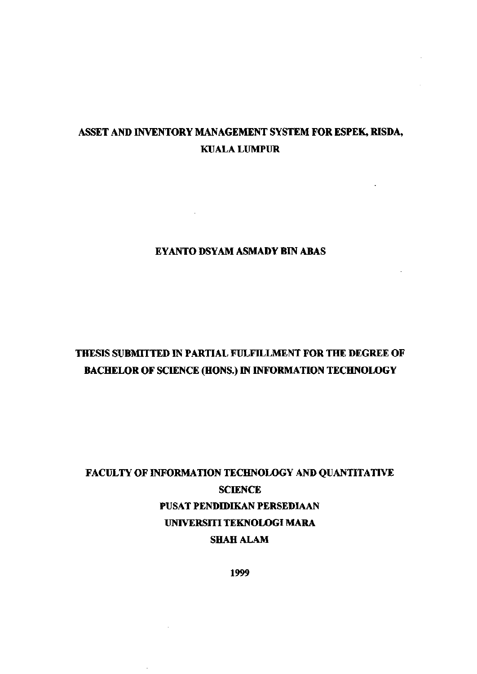## **ASSET AND INVENTORY MANAGEMENT SYSTEM FOR ESPEK, RISDA, KUALA LUMPUR**

### **EYANTO DSYAM ASMADY BIN ABAS**

 $\sim 10^{-10}$ 

# **THESIS SUBMITTED IN PARTIAL FULFILLMENT FOR THE DEGREE OF BACHELOR OF SCIENCE (HONS.) IN INFORMATION TECHNOLOGY**

# **FACULTY OF INFORMATION TECHNOLOGY AND QUANTITATIVE SCIENCE PUSAT PENDIDIKAN PERSEDIAAN UNIVERSITI TEKNOLOGI MARA SHAH ALAM**

**1999**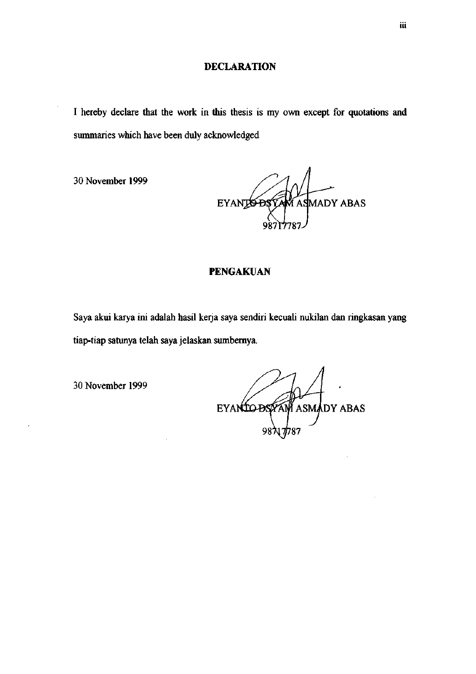I hereby declare that the work in this thesis is my own except for quotations and summaries which have been duly acknowledged

30 November 1999

AM ASMADY ABAS **EYANTS DSY** 

### **PENGAKUAN**

Saya akui karya ini adalah hasil kerja saya sendiri kecuali nukilan dan ringkasan yang tiap-tiap satunya telah saya jelaskan sumbemya.

30 November 1999

EYANTO DS YAW ASMADY ABAS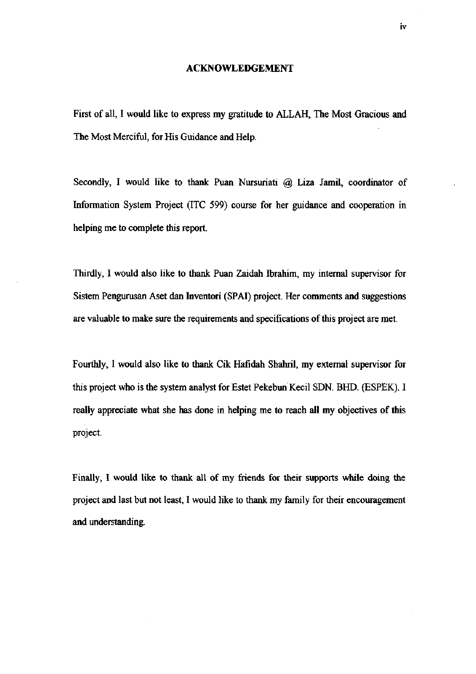#### **ACKNOWLEDGEMENT**

First of all, I would like to express my gratitude to ALLAH, The Most Gracious and The Most Merciful, for His Guidance and Help.

Secondly, I would like to thank Puan Nursuriati @ Liza Jamil, coordinator of Information System Project (ITC 599) course for her guidance and cooperation in helping me to complete this report.

Thirdly, I would also like to thank Puan Zaidah Ibrahim, my internal supervisor for Sistem Pengurusan Aset dan Inventori (SPAI) project. Her comments and suggestions are valuable to make sure the requirements and specifications of this project are met.

Fourthly, I would also like to thank Cik Hafidah Shahril, my external supervisor for this project who is the system analyst for Estet Pekebim Kecil SDN. BHD. (ESPEK). I really appreciate what she has done in helping me to reach all my objectives of this project.

Finally, I would like to thank all of my friends for their supports while doing the project and last but not least, I would like to thank my family for their encouragement and understanding.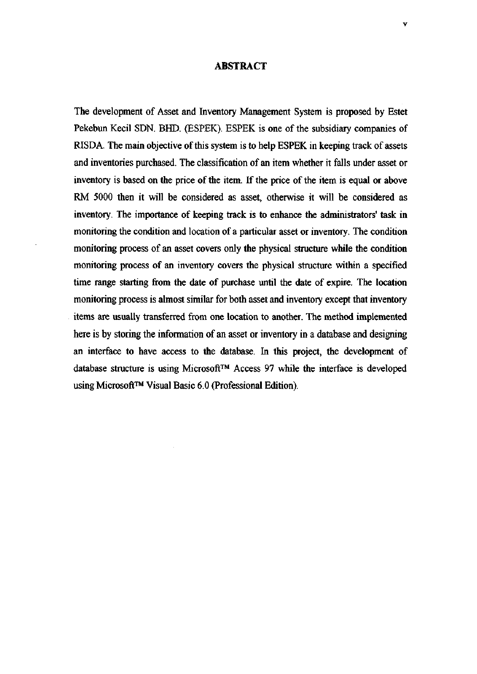#### **ABSTRACT**

The development of Asset and Inventory Management System is proposed by Estet Pekebun Kecil SDN. BHD. (ESPEK). ESPEK is one of the subsidiary companies of RISDA. The main objective of this system is to help ESPEK in keeping track of assets and inventories purchased. The classification of an item whether it falls under asset or inventory is based on the price of the item. If the price of the item is equal or above RM 5000 then it will be considered as asset, otherwise it will be considered as inventory. The importance of keeping track is to enhance the administrators' task in monitoring the condition and location of a particular asset or inventory. The condition monitoring process of an asset covers only the physical structure while the condition monitoring process of an inventory covers the physical structure within a specified time range starting from the date of purchase until the date of expire. The location monitoring process is almost similar for both asset and inventory except that inventory items are usually transferred from one location to another. The method implemented here is by storing the information of an asset or inventory in a database and designing an interface to have access to the database. In this project, the development of database structure is using Microsoft™ Access 97 while the interface is developed using Microsoft<sup>TM</sup> Visual Basic 6.0 (Professional Edition).